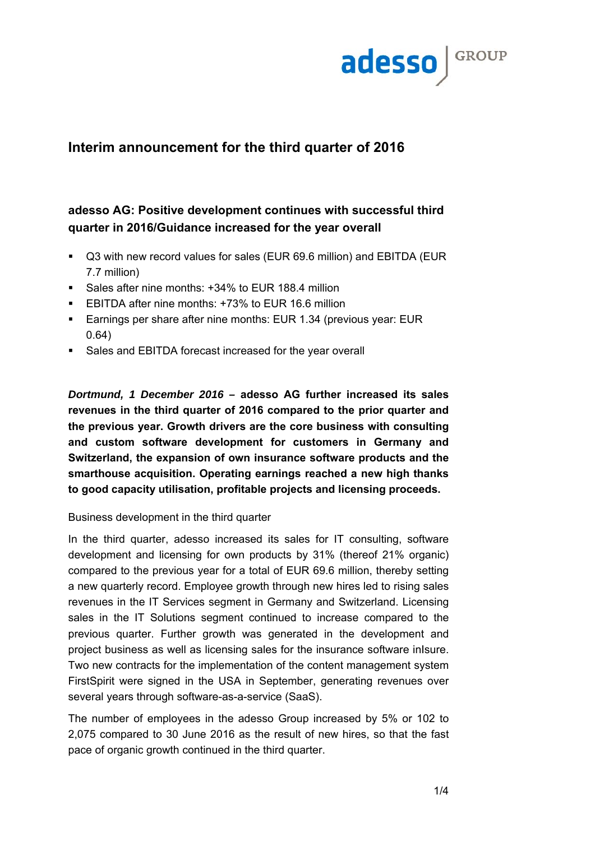

# **Interim announcement for the third quarter of 2016**

## **adesso AG: Positive development continues with successful third quarter in 2016/Guidance increased for the year overall**

- Q3 with new record values for sales (EUR 69.6 million) and EBITDA (EUR 7.7 million)
- Sales after nine months: +34% to EUR 188.4 million
- EBITDA after nine months: +73% to EUR 16.6 million
- **Earnings per share after nine months: EUR 1.34 (previous year: EUR** 0.64)
- Sales and EBITDA forecast increased for the year overall

*Dortmund, 1 December 2016 –* **adesso AG further increased its sales revenues in the third quarter of 2016 compared to the prior quarter and the previous year. Growth drivers are the core business with consulting and custom software development for customers in Germany and Switzerland, the expansion of own insurance software products and the smarthouse acquisition. Operating earnings reached a new high thanks to good capacity utilisation, profitable projects and licensing proceeds.** 

## Business development in the third quarter

In the third quarter, adesso increased its sales for IT consulting, software development and licensing for own products by 31% (thereof 21% organic) compared to the previous year for a total of EUR 69.6 million, thereby setting a new quarterly record. Employee growth through new hires led to rising sales revenues in the IT Services segment in Germany and Switzerland. Licensing sales in the IT Solutions segment continued to increase compared to the previous quarter. Further growth was generated in the development and project business as well as licensing sales for the insurance software inIsure. Two new contracts for the implementation of the content management system FirstSpirit were signed in the USA in September, generating revenues over several years through software-as-a-service (SaaS).

The number of employees in the adesso Group increased by 5% or 102 to 2,075 compared to 30 June 2016 as the result of new hires, so that the fast pace of organic growth continued in the third quarter.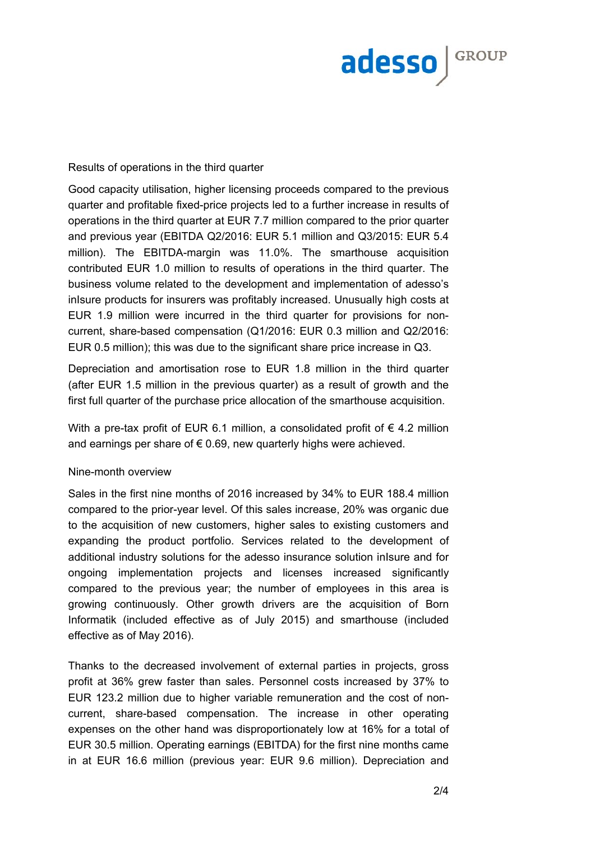

#### Results of operations in the third quarter

Good capacity utilisation, higher licensing proceeds compared to the previous quarter and profitable fixed-price projects led to a further increase in results of operations in the third quarter at EUR 7.7 million compared to the prior quarter and previous year (EBITDA Q2/2016: EUR 5.1 million and Q3/2015: EUR 5.4 million). The EBITDA-margin was 11.0%. The smarthouse acquisition contributed EUR 1.0 million to results of operations in the third quarter. The business volume related to the development and implementation of adesso's inIsure products for insurers was profitably increased. Unusually high costs at EUR 1.9 million were incurred in the third quarter for provisions for noncurrent, share-based compensation (Q1/2016: EUR 0.3 million and Q2/2016: EUR 0.5 million); this was due to the significant share price increase in Q3.

Depreciation and amortisation rose to EUR 1.8 million in the third quarter (after EUR 1.5 million in the previous quarter) as a result of growth and the first full quarter of the purchase price allocation of the smarthouse acquisition.

With a pre-tax profit of EUR 6.1 million, a consolidated profit of  $\epsilon$  4.2 million and earnings per share of  $\epsilon$  0.69, new quarterly highs were achieved.

#### Nine-month overview

Sales in the first nine months of 2016 increased by 34% to EUR 188.4 million compared to the prior-year level. Of this sales increase, 20% was organic due to the acquisition of new customers, higher sales to existing customers and expanding the product portfolio. Services related to the development of additional industry solutions for the adesso insurance solution inIsure and for ongoing implementation projects and licenses increased significantly compared to the previous year; the number of employees in this area is growing continuously. Other growth drivers are the acquisition of Born Informatik (included effective as of July 2015) and smarthouse (included effective as of May 2016).

Thanks to the decreased involvement of external parties in projects, gross profit at 36% grew faster than sales. Personnel costs increased by 37% to EUR 123.2 million due to higher variable remuneration and the cost of noncurrent, share-based compensation. The increase in other operating expenses on the other hand was disproportionately low at 16% for a total of EUR 30.5 million. Operating earnings (EBITDA) for the first nine months came in at EUR 16.6 million (previous year: EUR 9.6 million). Depreciation and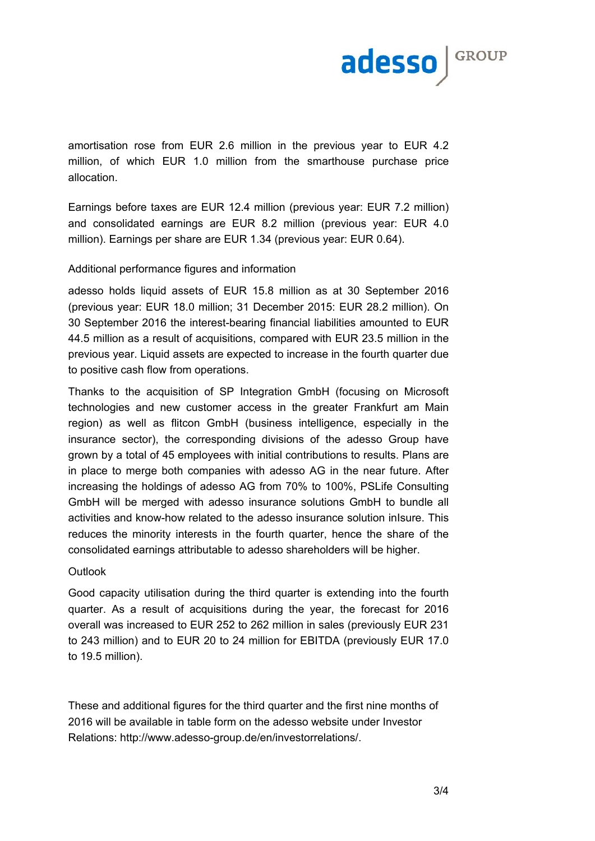

amortisation rose from EUR 2.6 million in the previous year to EUR 4.2 million, of which EUR 1.0 million from the smarthouse purchase price allocation.

Earnings before taxes are EUR 12.4 million (previous year: EUR 7.2 million) and consolidated earnings are EUR 8.2 million (previous year: EUR 4.0 million). Earnings per share are EUR 1.34 (previous year: EUR 0.64).

## Additional performance figures and information

adesso holds liquid assets of EUR 15.8 million as at 30 September 2016 (previous year: EUR 18.0 million; 31 December 2015: EUR 28.2 million). On 30 September 2016 the interest-bearing financial liabilities amounted to EUR 44.5 million as a result of acquisitions, compared with EUR 23.5 million in the previous year. Liquid assets are expected to increase in the fourth quarter due to positive cash flow from operations.

Thanks to the acquisition of SP Integration GmbH (focusing on Microsoft technologies and new customer access in the greater Frankfurt am Main region) as well as flitcon GmbH (business intelligence, especially in the insurance sector), the corresponding divisions of the adesso Group have grown by a total of 45 employees with initial contributions to results. Plans are in place to merge both companies with adesso AG in the near future. After increasing the holdings of adesso AG from 70% to 100%, PSLife Consulting GmbH will be merged with adesso insurance solutions GmbH to bundle all activities and know-how related to the adesso insurance solution inIsure. This reduces the minority interests in the fourth quarter, hence the share of the consolidated earnings attributable to adesso shareholders will be higher.

## **Outlook**

Good capacity utilisation during the third quarter is extending into the fourth quarter. As a result of acquisitions during the year, the forecast for 2016 overall was increased to EUR 252 to 262 million in sales (previously EUR 231 to 243 million) and to EUR 20 to 24 million for EBITDA (previously EUR 17.0 to 19.5 million).

These and additional figures for the third quarter and the first nine months of 2016 will be available in table form on the adesso website under Investor Relations: http://www.adesso-group.de/en/investorrelations/.